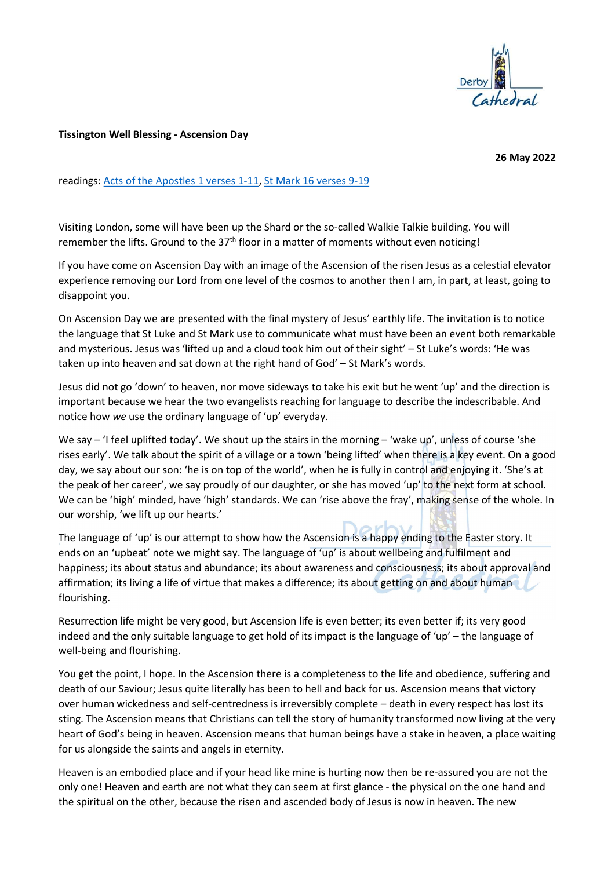

## Tissington Well Blessing - Ascension Day

26 May 2022

readings: Acts of the Apostles 1 verses 1-11, St Mark 16 verses 9-19

Visiting London, some will have been up the Shard or the so-called Walkie Talkie building. You will remember the lifts. Ground to the  $37<sup>th</sup>$  floor in a matter of moments without even noticing!

If you have come on Ascension Day with an image of the Ascension of the risen Jesus as a celestial elevator experience removing our Lord from one level of the cosmos to another then I am, in part, at least, going to disappoint you.

On Ascension Day we are presented with the final mystery of Jesus' earthly life. The invitation is to notice the language that St Luke and St Mark use to communicate what must have been an event both remarkable and mysterious. Jesus was 'lifted up and a cloud took him out of their sight' – St Luke's words: 'He was taken up into heaven and sat down at the right hand of God' – St Mark's words.

Jesus did not go 'down' to heaven, nor move sideways to take his exit but he went 'up' and the direction is important because we hear the two evangelists reaching for language to describe the indescribable. And notice how we use the ordinary language of 'up' everyday.

We say – 'I feel uplifted today'. We shout up the stairs in the morning – 'wake up', unless of course 'she rises early'. We talk about the spirit of a village or a town 'being lifted' when there is a key event. On a good day, we say about our son: 'he is on top of the world', when he is fully in control and enjoying it. 'She's at the peak of her career', we say proudly of our daughter, or she has moved 'up' to the next form at school. We can be 'high' minded, have 'high' standards. We can 'rise above the fray', making sense of the whole. In our worship, 'we lift up our hearts.'

The language of 'up' is our attempt to show how the Ascension is a happy ending to the Easter story. It ends on an 'upbeat' note we might say. The language of 'up' is about wellbeing and fulfilment and happiness; its about status and abundance; its about awareness and consciousness; its about approval and affirmation; its living a life of virtue that makes a difference; its about getting on and about human flourishing.

Resurrection life might be very good, but Ascension life is even better; its even better if; its very good indeed and the only suitable language to get hold of its impact is the language of 'up' – the language of well-being and flourishing.

You get the point, I hope. In the Ascension there is a completeness to the life and obedience, suffering and death of our Saviour; Jesus quite literally has been to hell and back for us. Ascension means that victory over human wickedness and self-centredness is irreversibly complete – death in every respect has lost its sting. The Ascension means that Christians can tell the story of humanity transformed now living at the very heart of God's being in heaven. Ascension means that human beings have a stake in heaven, a place waiting for us alongside the saints and angels in eternity.

Heaven is an embodied place and if your head like mine is hurting now then be re-assured you are not the only one! Heaven and earth are not what they can seem at first glance - the physical on the one hand and the spiritual on the other, because the risen and ascended body of Jesus is now in heaven. The new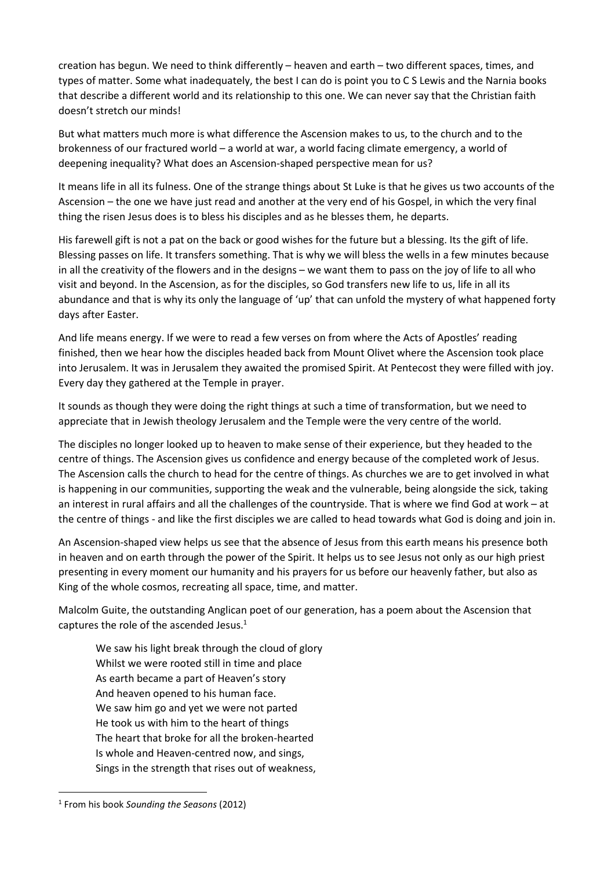creation has begun. We need to think differently – heaven and earth – two different spaces, times, and types of matter. Some what inadequately, the best I can do is point you to CS Lewis and the Narnia books that describe a different world and its relationship to this one. We can never say that the Christian faith doesn't stretch our minds!

But what matters much more is what difference the Ascension makes to us, to the church and to the brokenness of our fractured world – a world at war, a world facing climate emergency, a world of deepening inequality? What does an Ascension-shaped perspective mean for us?

It means life in all its fulness. One of the strange things about St Luke is that he gives us two accounts of the Ascension – the one we have just read and another at the very end of his Gospel, in which the very final thing the risen Jesus does is to bless his disciples and as he blesses them, he departs.

His farewell gift is not a pat on the back or good wishes for the future but a blessing. Its the gift of life. Blessing passes on life. It transfers something. That is why we will bless the wells in a few minutes because in all the creativity of the flowers and in the designs – we want them to pass on the joy of life to all who visit and beyond. In the Ascension, as for the disciples, so God transfers new life to us, life in all its abundance and that is why its only the language of 'up' that can unfold the mystery of what happened forty days after Easter.

And life means energy. If we were to read a few verses on from where the Acts of Apostles' reading finished, then we hear how the disciples headed back from Mount Olivet where the Ascension took place into Jerusalem. It was in Jerusalem they awaited the promised Spirit. At Pentecost they were filled with joy. Every day they gathered at the Temple in prayer.

It sounds as though they were doing the right things at such a time of transformation, but we need to appreciate that in Jewish theology Jerusalem and the Temple were the very centre of the world.

The disciples no longer looked up to heaven to make sense of their experience, but they headed to the centre of things. The Ascension gives us confidence and energy because of the completed work of Jesus. The Ascension calls the church to head for the centre of things. As churches we are to get involved in what is happening in our communities, supporting the weak and the vulnerable, being alongside the sick, taking an interest in rural affairs and all the challenges of the countryside. That is where we find God at work – at the centre of things - and like the first disciples we are called to head towards what God is doing and join in.

An Ascension-shaped view helps us see that the absence of Jesus from this earth means his presence both in heaven and on earth through the power of the Spirit. It helps us to see Jesus not only as our high priest presenting in every moment our humanity and his prayers for us before our heavenly father, but also as King of the whole cosmos, recreating all space, time, and matter.

Malcolm Guite, the outstanding Anglican poet of our generation, has a poem about the Ascension that captures the role of the ascended Jesus. $<sup>1</sup>$ </sup>

We saw his light break through the cloud of glory Whilst we were rooted still in time and place As earth became a part of Heaven's story And heaven opened to his human face. We saw him go and yet we were not parted He took us with him to the heart of things The heart that broke for all the broken-hearted Is whole and Heaven-centred now, and sings, Sings in the strength that rises out of weakness,

<sup>&</sup>lt;sup>1</sup> From his book Sounding the Seasons (2012)